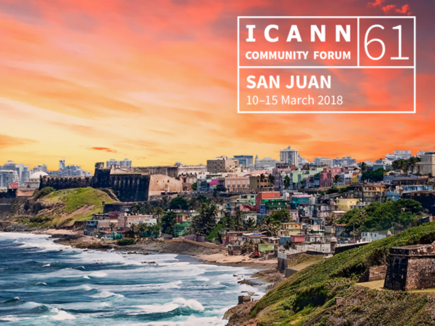# **I C A N N 61**

**SAN JUAN** 10-15 March 2018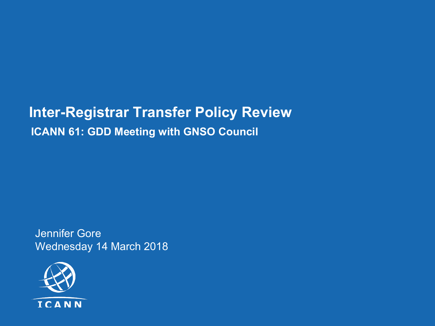#### **Inter-Registrar Transfer Policy Review ICANN 61: GDD Meeting with GNSO Council**

Jennifer Gore Wednesday 14 March 2018

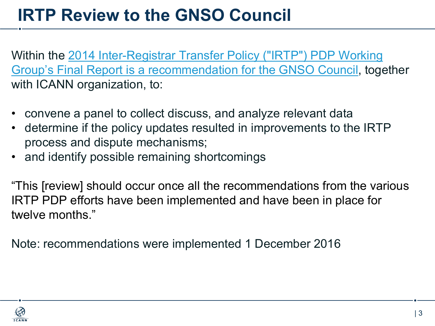### **IRTP Review to the GNSO Council**

Within the 2014 Inter-Registrar Transfer Policy ("IRTP") PDP Working Group's Final Report is a recommendation for the GNSO Council, together with ICANN organization, to:

- convene a panel to collect discuss, and analyze relevant data
- determine if the policy updates resulted in improvements to the IRTP process and dispute mechanisms;
- and identify possible remaining shortcomings

"This [review] should occur once all the recommendations from the various IRTP PDP efforts have been implemented and have been in place for twelve months."

Note: recommendations were implemented 1 December 2016

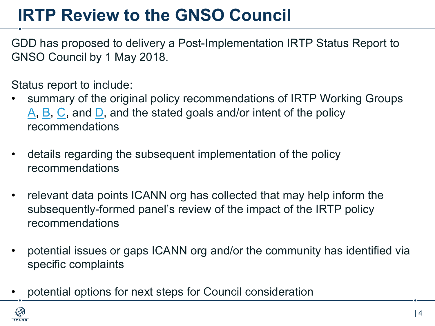## **IRTP Review to the GNSO Council**

GDD has proposed to delivery a Post-Implementation IRTP Status Report to GNSO Council by 1 May 2018.

Status report to include:

- summary of the original policy recommendations of IRTP Working Groups  $\overline{A}$ ,  $\overline{B}$ ,  $\overline{C}$ , and  $\overline{D}$ , and the stated goals and/or intent of the policy recommendations
- details regarding the subsequent implementation of the policy recommendations
- relevant data points ICANN org has collected that may help inform the subsequently-formed panel's review of the impact of the IRTP policy recommendations
- potential issues or gaps ICANN org and/or the community has identified via specific complaints
- potential options for next steps for Council consideration